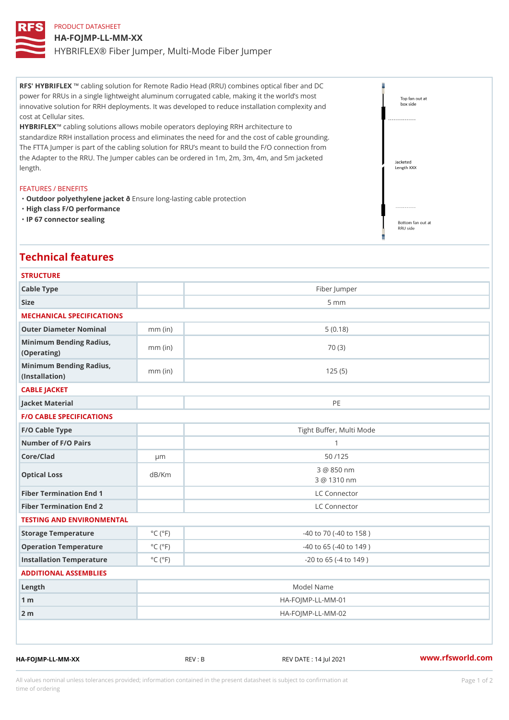# PRODUCT DATASHEET HA-FOJMP-LL-MM-XX HYBRIFLEX® Fiber Jumper, Multi-Mode Fiber Jumper

RFS' HYBRIFLEX ing solution for Remote Radio Head (RRU) combines optical fiber and DC power for RRUs in a single lightweight aluminum corrugated cable, making it the world s most innovative solution for RRH deployments. It was developed to reduce installation complexity and cost at Cellular sites.

HYBRIFLEX bling solutions allows mobile operators deploying RRH architecture to standardize RRH installation process and eliminates the need for and the cost of cable grounding. The FTTA Jumper is part of the cabling solution for RRU s meant to build the F/O connection from the Adapter to the RRU. The Jumper cables can be ordered in 1m, 2m, 3m, 4m, and 5m jacketed length.

#### FEATURES / BENEFITS

"Outdoor polyethylene jancskuente long-lasting cable protection "High class F/O performance "IP 67 connector sealing

## Technical features

| <b>STRUCTURE</b>                                  |                             |                                  |  |
|---------------------------------------------------|-----------------------------|----------------------------------|--|
| Cable Type                                        |                             | Fiber Jumper                     |  |
| Size                                              |                             | $5 \text{ mm}$                   |  |
| MECHANICAL SPECIFICATIONS                         |                             |                                  |  |
| Outer Diameter Nominal                            | $mm$ (in)                   | 5(0.18)                          |  |
| Minimum Bending Radius, mm (in)<br>(Operating)    |                             | 70 (3)                           |  |
| Minimum Bending Radius, mm (in)<br>(Installation) |                             | 125(5)                           |  |
| CABLE JACKET                                      |                             |                                  |  |
| Jacket Material                                   |                             | PE                               |  |
| <b>F/O CABLE SPECIFICATIONS</b>                   |                             |                                  |  |
| F/O Cable Type                                    |                             | Tight Buffer, Multi Mode         |  |
| Number of F/O Pairs                               |                             | $\mathbf{1}$                     |  |
| Core/Clad                                         | $\mu$ m                     | 50 / 125                         |  |
| Optical Loss                                      | dB/Km                       | 3 @ 850 nm<br>3 @ 1310 nm        |  |
| Fiber Termination End 1                           |                             | LC Connector                     |  |
| Fiber Termination End 2                           |                             | LC Connector                     |  |
| TESTING AND ENVIRONMENTAL                         |                             |                                  |  |
| Storage Temperature                               | $^{\circ}$ C ( $^{\circ}$ F | $-40$ to $70$ ( $-40$ to $158$ ) |  |
| Operation Temperature                             | $^{\circ}$ C ( $^{\circ}$ F | $-40$ to $65$ ( $-40$ to $149$ ) |  |
| Installation Temperature                          | $^{\circ}$ C ( $^{\circ}$ F | $-20$ to 65 ( $-4$ to 149)       |  |
| ADDITIONAL ASSEMBLIES                             |                             |                                  |  |
| Length                                            | Model Name                  |                                  |  |
| $1 \text{ m}$                                     | $HA - FOJMP - LL - MM - 01$ |                                  |  |
| $2 \text{ m}$                                     |                             | $HA - FOJMP - LL - MM - 02$      |  |
|                                                   |                             |                                  |  |

HA-FOJMP-LL-MM-XX REV : B REV DATE : 14 Jul 2021 [www.](https://www.rfsworld.com)rfsworld.com